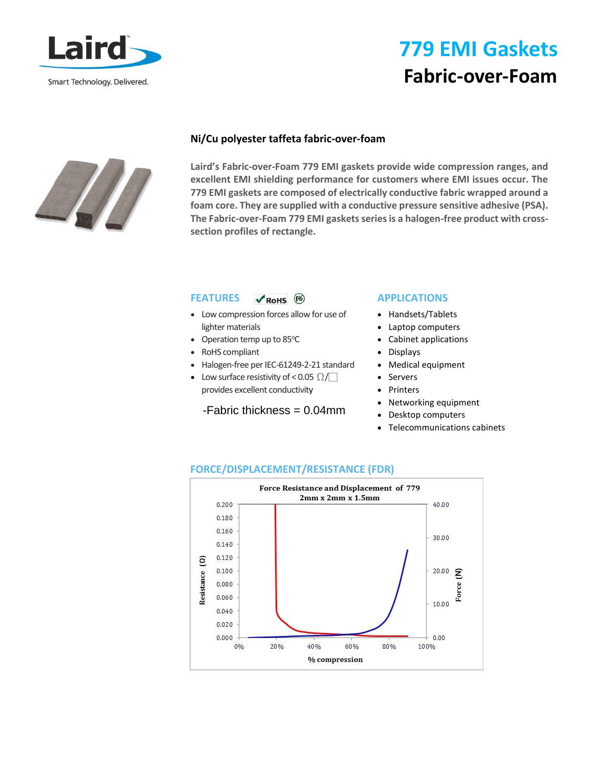

# **779 EMI Gaskets Fabric-over-Foam**



#### **Ni/Cu polyester taffeta fabric-over-foam**

**Laird's Fabric-over-Foam 779 EMI gaskets provide wide compression ranges, and excellent EMI shielding performance for customers where EMI issues occur. The 779 EMI gaskets are composed of electrically conductive fabric wrapped around a foam core. They are supplied with a conductive pressure sensitive adhesive (PSA). The Fabric-over-Foam 779 EMI gaskets series is a halogen-free product with crosssection profiles of rectangle.** 

#### **FEATURES**   $\n **RoHS**\n  $\boxed{Pb}$$

- Low compression forces allow for use of lighter materials
- Operation temp up to  $85^{\circ}$ C
- RoHS compliant
- Halogen-free per IEC-61249-2-21 standard
- Low surface resistivity of < 0.05  $\Omega$ provides excellent conductivity

### -Fabric thickness = 0.04mm

### **APPLICATIONS**

- Handsets/Tablets
- Laptop computers
- Cabinet applications
- Displays
- Medical equipment
- **Servers**
- Printers
- Networking equipment
- Desktop computers
- Telecommunications cabinets



### **FORCE/DISPLACEMENT/RESISTANCE (FDR)**